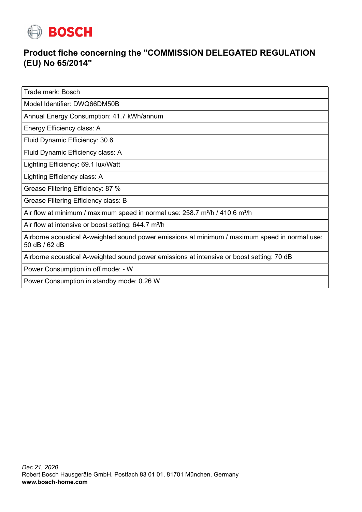

## **Product fiche concerning the "COMMISSION DELEGATED REGULATION (EU) No 65/2014"**

Trade mark: Bosch

Model Identifier: DWQ66DM50B

Annual Energy Consumption: 41.7 kWh/annum

Energy Efficiency class: A

Fluid Dynamic Efficiency: 30.6

Fluid Dynamic Efficiency class: A

Lighting Efficiency: 69.1 lux/Watt

Lighting Efficiency class: A

Grease Filtering Efficiency: 87 %

Grease Filtering Efficiency class: B

Air flow at minimum / maximum speed in normal use:  $258.7$  m $\frac{3}{h}$  / 410.6 m $\frac{3}{h}$ 

Air flow at intensive or boost setting:  $644.7 \text{ m}^3/\text{h}$ 

Airborne acoustical A-weighted sound power emissions at minimum / maximum speed in normal use: 50 dB / 62 dB

Airborne acoustical A-weighted sound power emissions at intensive or boost setting: 70 dB

Power Consumption in off mode: - W

Power Consumption in standby mode: 0.26 W